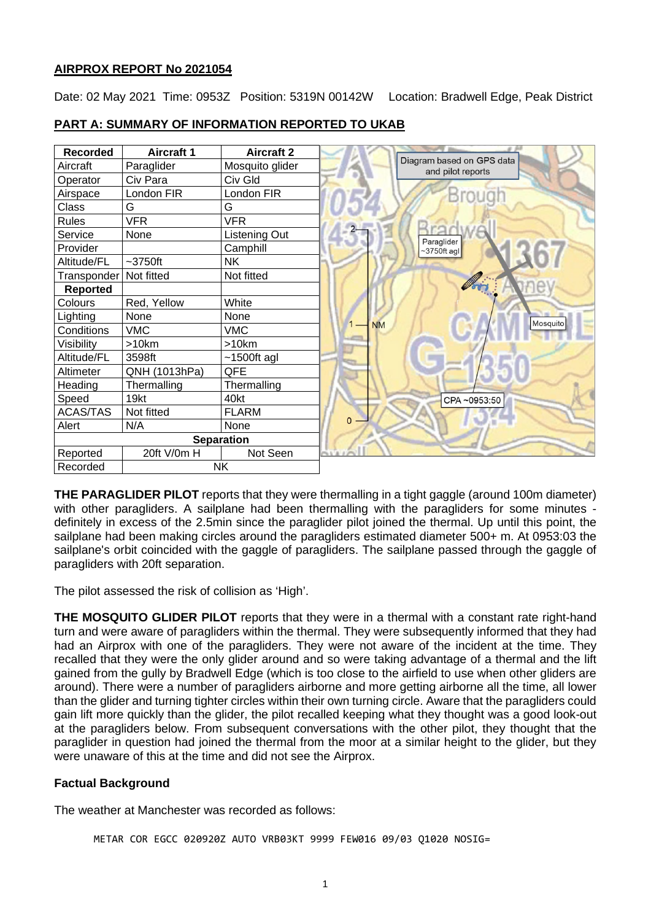# **AIRPROX REPORT No 2021054**

Date: 02 May 2021 Time: 0953Z Position: 5319N 00142W Location: Bradwell Edge, Peak District



#### **PART A: SUMMARY OF INFORMATION REPORTED TO UKAB**

**THE PARAGLIDER PILOT** reports that they were thermalling in a tight gaggle (around 100m diameter) with other paragliders. A sailplane had been thermalling with the paragliders for some minutes definitely in excess of the 2.5min since the paraglider pilot joined the thermal. Up until this point, the sailplane had been making circles around the paragliders estimated diameter 500+ m. At 0953:03 the sailplane's orbit coincided with the gaggle of paragliders. The sailplane passed through the gaggle of paragliders with 20ft separation.

The pilot assessed the risk of collision as 'High'.

**THE MOSQUITO GLIDER PILOT** reports that they were in a thermal with a constant rate right-hand turn and were aware of paragliders within the thermal. They were subsequently informed that they had had an Airprox with one of the paragliders. They were not aware of the incident at the time. They recalled that they were the only glider around and so were taking advantage of a thermal and the lift gained from the gully by Bradwell Edge (which is too close to the airfield to use when other gliders are around). There were a number of paragliders airborne and more getting airborne all the time, all lower than the glider and turning tighter circles within their own turning circle. Aware that the paragliders could gain lift more quickly than the glider, the pilot recalled keeping what they thought was a good look-out at the paragliders below. From subsequent conversations with the other pilot, they thought that the paraglider in question had joined the thermal from the moor at a similar height to the glider, but they were unaware of this at the time and did not see the Airprox.

# **Factual Background**

The weather at Manchester was recorded as follows:

METAR COR EGCC 020920Z AUTO VRB03KT 9999 FEW016 09/03 Q1020 NOSIG=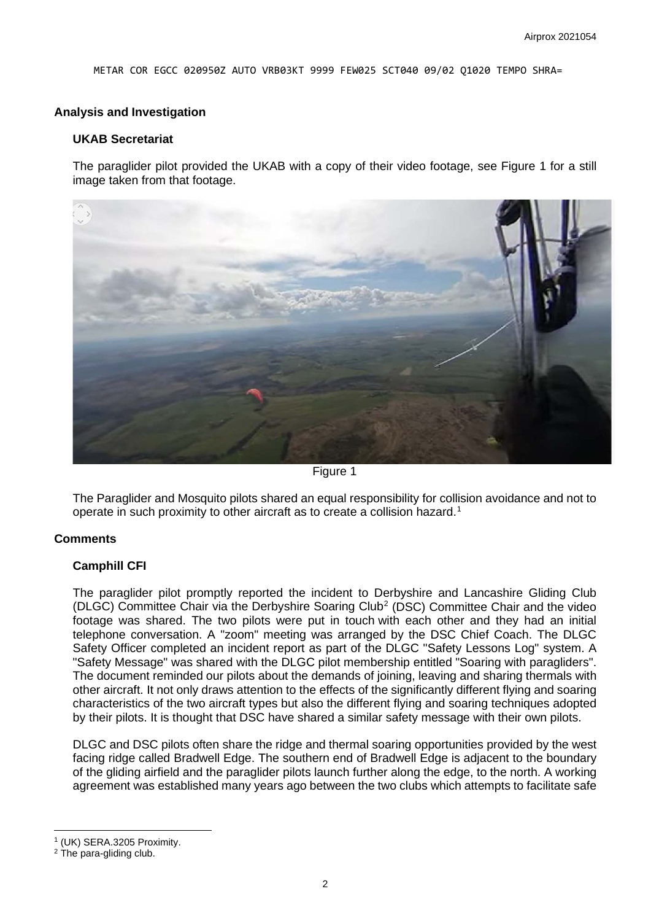METAR COR EGCC 020950Z AUTO VRB03KT 9999 FEW025 SCT040 09/02 Q1020 TEMPO SHRA=

#### **Analysis and Investigation**

#### **UKAB Secretariat**

The paraglider pilot provided the UKAB with a copy of their video footage, see Figure 1 for a still image taken from that footage.



Figure 1

The Paraglider and Mosquito pilots shared an equal responsibility for collision avoidance and not to operate in such proximity to other aircraft as to create a collision hazard. [1](#page-1-0)

#### **Comments**

#### **Camphill CFI**

The paraglider pilot promptly reported the incident to Derbyshire and Lancashire Gliding Club (DLGC) Committee Chair via the Derbyshire Soaring Club[2](#page-1-1) (DSC) Committee Chair and the video footage was shared. The two pilots were put in touch with each other and they had an initial telephone conversation. A "zoom" meeting was arranged by the DSC Chief Coach. The DLGC Safety Officer completed an incident report as part of the DLGC "Safety Lessons Log" system. A "Safety Message" was shared with the DLGC pilot membership entitled "Soaring with paragliders". The document reminded our pilots about the demands of joining, leaving and sharing thermals with other aircraft. It not only draws attention to the effects of the significantly different flying and soaring characteristics of the two aircraft types but also the different flying and soaring techniques adopted by their pilots. It is thought that DSC have shared a similar safety message with their own pilots.

DLGC and DSC pilots often share the ridge and thermal soaring opportunities provided by the west facing ridge called Bradwell Edge. The southern end of Bradwell Edge is adjacent to the boundary of the gliding airfield and the paraglider pilots launch further along the edge, to the north. A working agreement was established many years ago between the two clubs which attempts to facilitate safe

<span id="page-1-0"></span><sup>1</sup> (UK) SERA.3205 Proximity.

<span id="page-1-1"></span><sup>2</sup> The para-gliding club.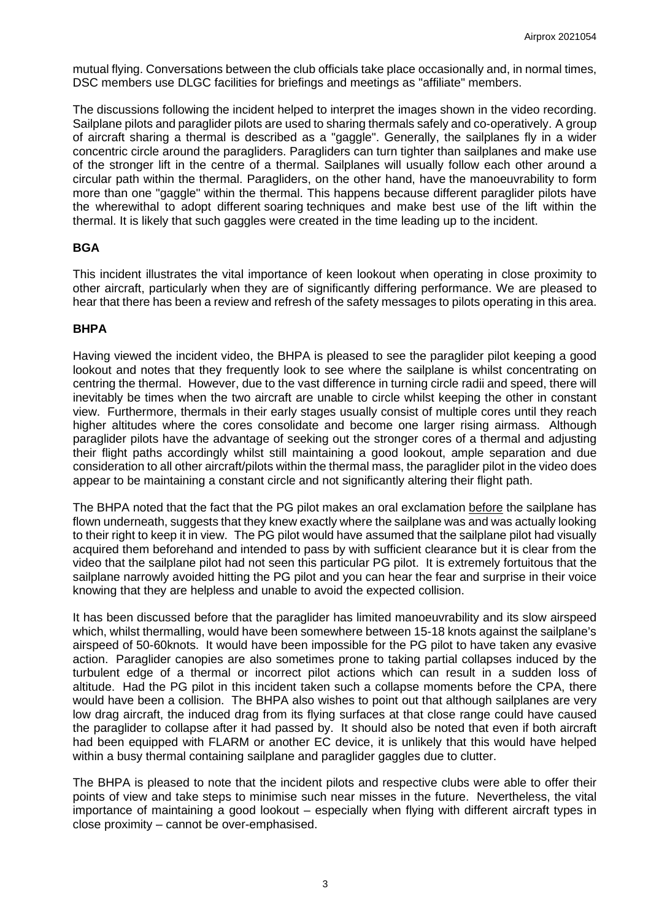mutual flying. Conversations between the club officials take place occasionally and, in normal times, DSC members use DLGC facilities for briefings and meetings as "affiliate" members.

The discussions following the incident helped to interpret the images shown in the video recording. Sailplane pilots and paraglider pilots are used to sharing thermals safely and co-operatively. A group of aircraft sharing a thermal is described as a "gaggle". Generally, the sailplanes fly in a wider concentric circle around the paragliders. Paragliders can turn tighter than sailplanes and make use of the stronger lift in the centre of a thermal. Sailplanes will usually follow each other around a circular path within the thermal. Paragliders, on the other hand, have the manoeuvrability to form more than one "gaggle" within the thermal. This happens because different paraglider pilots have the wherewithal to adopt different soaring techniques and make best use of the lift within the thermal. It is likely that such gaggles were created in the time leading up to the incident.

# **BGA**

This incident illustrates the vital importance of keen lookout when operating in close proximity to other aircraft, particularly when they are of significantly differing performance. We are pleased to hear that there has been a review and refresh of the safety messages to pilots operating in this area.

# **BHPA**

Having viewed the incident video, the BHPA is pleased to see the paraglider pilot keeping a good lookout and notes that they frequently look to see where the sailplane is whilst concentrating on centring the thermal. However, due to the vast difference in turning circle radii and speed, there will inevitably be times when the two aircraft are unable to circle whilst keeping the other in constant view. Furthermore, thermals in their early stages usually consist of multiple cores until they reach higher altitudes where the cores consolidate and become one larger rising airmass. Although paraglider pilots have the advantage of seeking out the stronger cores of a thermal and adjusting their flight paths accordingly whilst still maintaining a good lookout, ample separation and due consideration to all other aircraft/pilots within the thermal mass, the paraglider pilot in the video does appear to be maintaining a constant circle and not significantly altering their flight path.

The BHPA noted that the fact that the PG pilot makes an oral exclamation before the sailplane has flown underneath, suggests that they knew exactly where the sailplane was and was actually looking to their right to keep it in view. The PG pilot would have assumed that the sailplane pilot had visually acquired them beforehand and intended to pass by with sufficient clearance but it is clear from the video that the sailplane pilot had not seen this particular PG pilot. It is extremely fortuitous that the sailplane narrowly avoided hitting the PG pilot and you can hear the fear and surprise in their voice knowing that they are helpless and unable to avoid the expected collision.

It has been discussed before that the paraglider has limited manoeuvrability and its slow airspeed which, whilst thermalling, would have been somewhere between 15-18 knots against the sailplane's airspeed of 50-60knots. It would have been impossible for the PG pilot to have taken any evasive action. Paraglider canopies are also sometimes prone to taking partial collapses induced by the turbulent edge of a thermal or incorrect pilot actions which can result in a sudden loss of altitude. Had the PG pilot in this incident taken such a collapse moments before the CPA, there would have been a collision. The BHPA also wishes to point out that although sailplanes are very low drag aircraft, the induced drag from its flying surfaces at that close range could have caused the paraglider to collapse after it had passed by. It should also be noted that even if both aircraft had been equipped with FLARM or another EC device, it is unlikely that this would have helped within a busy thermal containing sailplane and paraglider gaggles due to clutter.

The BHPA is pleased to note that the incident pilots and respective clubs were able to offer their points of view and take steps to minimise such near misses in the future. Nevertheless, the vital importance of maintaining a good lookout – especially when flying with different aircraft types in close proximity – cannot be over-emphasised.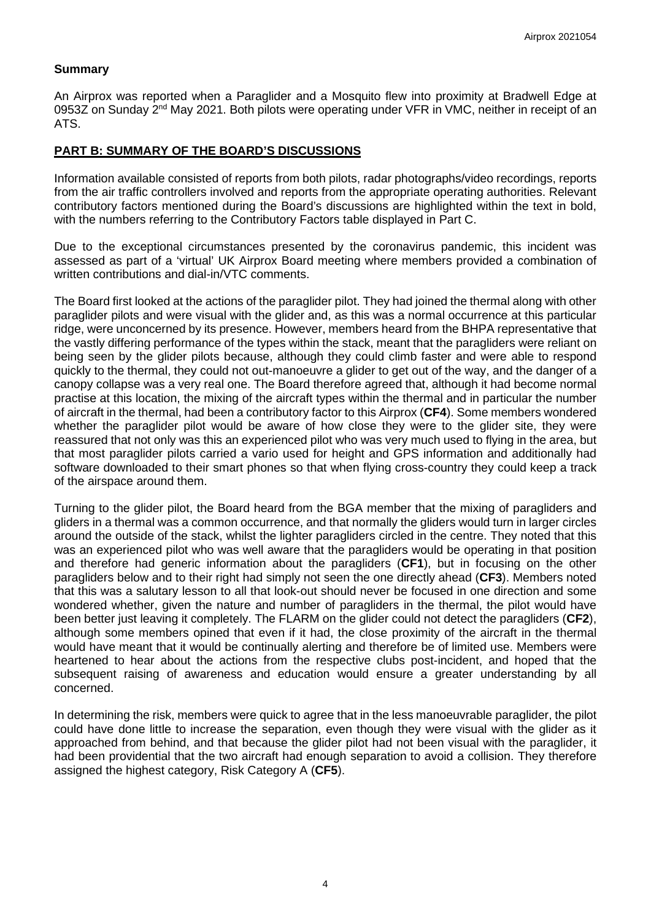# **Summary**

An Airprox was reported when a Paraglider and a Mosquito flew into proximity at Bradwell Edge at 0953Z on Sunday  $2<sup>nd</sup>$  May 2021. Both pilots were operating under VFR in VMC, neither in receipt of an ATS.

# **PART B: SUMMARY OF THE BOARD'S DISCUSSIONS**

Information available consisted of reports from both pilots, radar photographs/video recordings, reports from the air traffic controllers involved and reports from the appropriate operating authorities. Relevant contributory factors mentioned during the Board's discussions are highlighted within the text in bold, with the numbers referring to the Contributory Factors table displayed in Part C.

Due to the exceptional circumstances presented by the coronavirus pandemic, this incident was assessed as part of a 'virtual' UK Airprox Board meeting where members provided a combination of written contributions and dial-in/VTC comments.

The Board first looked at the actions of the paraglider pilot. They had joined the thermal along with other paraglider pilots and were visual with the glider and, as this was a normal occurrence at this particular ridge, were unconcerned by its presence. However, members heard from the BHPA representative that the vastly differing performance of the types within the stack, meant that the paragliders were reliant on being seen by the glider pilots because, although they could climb faster and were able to respond quickly to the thermal, they could not out-manoeuvre a glider to get out of the way, and the danger of a canopy collapse was a very real one. The Board therefore agreed that, although it had become normal practise at this location, the mixing of the aircraft types within the thermal and in particular the number of aircraft in the thermal, had been a contributory factor to this Airprox (**CF4**). Some members wondered whether the paraglider pilot would be aware of how close they were to the glider site, they were reassured that not only was this an experienced pilot who was very much used to flying in the area, but that most paraglider pilots carried a vario used for height and GPS information and additionally had software downloaded to their smart phones so that when flying cross-country they could keep a track of the airspace around them.

Turning to the glider pilot, the Board heard from the BGA member that the mixing of paragliders and gliders in a thermal was a common occurrence, and that normally the gliders would turn in larger circles around the outside of the stack, whilst the lighter paragliders circled in the centre. They noted that this was an experienced pilot who was well aware that the paragliders would be operating in that position and therefore had generic information about the paragliders (**CF1**), but in focusing on the other paragliders below and to their right had simply not seen the one directly ahead (**CF3**). Members noted that this was a salutary lesson to all that look-out should never be focused in one direction and some wondered whether, given the nature and number of paragliders in the thermal, the pilot would have been better just leaving it completely. The FLARM on the glider could not detect the paragliders (**CF2**), although some members opined that even if it had, the close proximity of the aircraft in the thermal would have meant that it would be continually alerting and therefore be of limited use. Members were heartened to hear about the actions from the respective clubs post-incident, and hoped that the subsequent raising of awareness and education would ensure a greater understanding by all concerned.

In determining the risk, members were quick to agree that in the less manoeuvrable paraglider, the pilot could have done little to increase the separation, even though they were visual with the glider as it approached from behind, and that because the glider pilot had not been visual with the paraglider, it had been providential that the two aircraft had enough separation to avoid a collision. They therefore assigned the highest category, Risk Category A (**CF5**).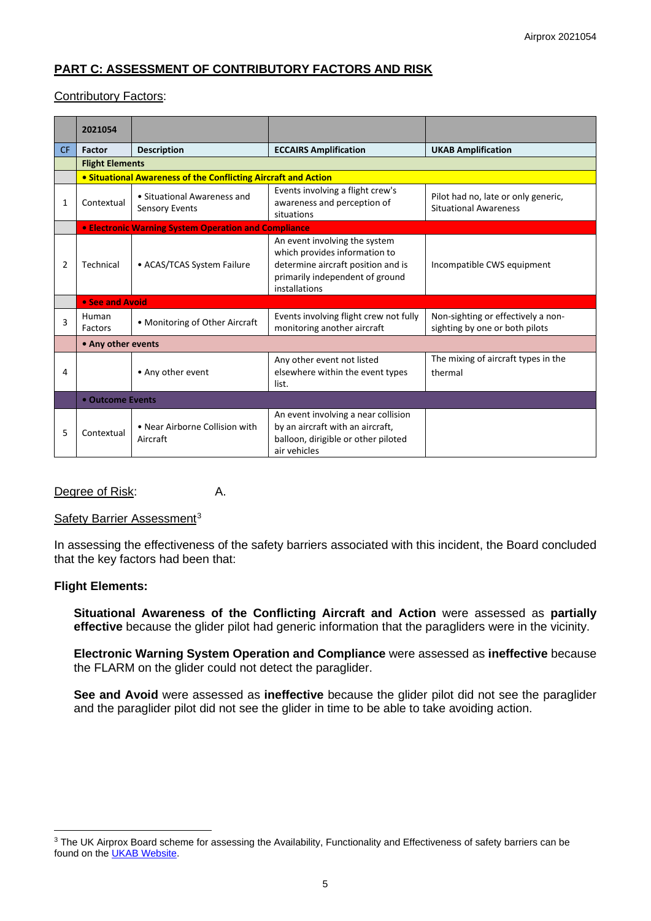# **PART C: ASSESSMENT OF CONTRIBUTORY FACTORS AND RISK**

# Contributory Factors:

|                | 2021054                                                        |                                                      |                                                                                                                                                          |                                                                      |  |
|----------------|----------------------------------------------------------------|------------------------------------------------------|----------------------------------------------------------------------------------------------------------------------------------------------------------|----------------------------------------------------------------------|--|
| <b>CF</b>      | Factor                                                         | <b>Description</b>                                   | <b>ECCAIRS Amplification</b>                                                                                                                             | <b>UKAB Amplification</b>                                            |  |
|                | <b>Flight Elements</b>                                         |                                                      |                                                                                                                                                          |                                                                      |  |
|                | • Situational Awareness of the Conflicting Aircraft and Action |                                                      |                                                                                                                                                          |                                                                      |  |
| 1              | Contextual                                                     | • Situational Awareness and<br><b>Sensory Events</b> | Events involving a flight crew's<br>awareness and perception of<br>situations                                                                            | Pilot had no, late or only generic,<br><b>Situational Awareness</b>  |  |
|                | <b>• Electronic Warning System Operation and Compliance</b>    |                                                      |                                                                                                                                                          |                                                                      |  |
| $\overline{2}$ | Technical                                                      | • ACAS/TCAS System Failure                           | An event involving the system<br>which provides information to<br>determine aircraft position and is<br>primarily independent of ground<br>installations | Incompatible CWS equipment                                           |  |
|                |                                                                | • See and Avoid                                      |                                                                                                                                                          |                                                                      |  |
| 3              | Human<br>Factors                                               | • Monitoring of Other Aircraft                       | Events involving flight crew not fully<br>monitoring another aircraft                                                                                    | Non-sighting or effectively a non-<br>sighting by one or both pilots |  |
|                |                                                                | • Any other events                                   |                                                                                                                                                          |                                                                      |  |
| 4              |                                                                | • Any other event                                    | Any other event not listed<br>elsewhere within the event types<br>list.                                                                                  | The mixing of aircraft types in the<br>thermal                       |  |
|                | • Outcome Events                                               |                                                      |                                                                                                                                                          |                                                                      |  |
| 5              | Contextual                                                     | • Near Airborne Collision with<br>Aircraft           | An event involving a near collision<br>by an aircraft with an aircraft,<br>balloon, dirigible or other piloted<br>air vehicles                           |                                                                      |  |

# Degree of Risk: A.

#### Safety Barrier Assessment<sup>[3](#page-4-0)</sup>

In assessing the effectiveness of the safety barriers associated with this incident, the Board concluded that the key factors had been that:

### **Flight Elements:**

**Situational Awareness of the Conflicting Aircraft and Action** were assessed as **partially effective** because the glider pilot had generic information that the paragliders were in the vicinity.

**Electronic Warning System Operation and Compliance** were assessed as **ineffective** because the FLARM on the glider could not detect the paraglider.

**See and Avoid** were assessed as **ineffective** because the glider pilot did not see the paraglider and the paraglider pilot did not see the glider in time to be able to take avoiding action.

<span id="page-4-0"></span><sup>&</sup>lt;sup>3</sup> The UK Airprox Board scheme for assessing the Availability, Functionality and Effectiveness of safety barriers can be found on the **UKAB Website**.